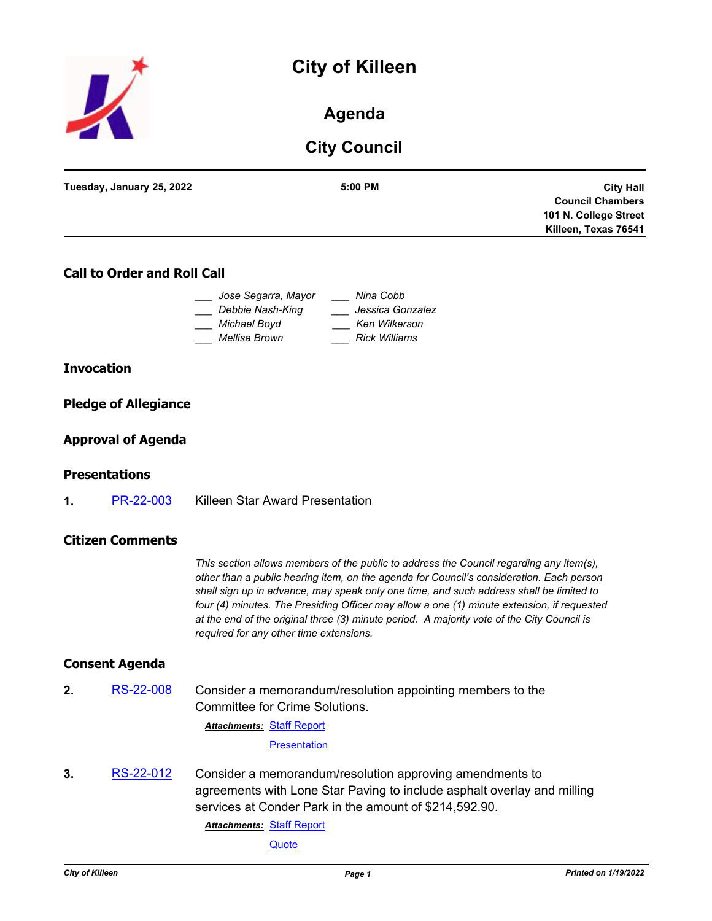# **City of Killeen**



# **Agenda**

# **City Council**

| <b>City Hall</b>        |
|-------------------------|
| <b>Council Chambers</b> |
| 101 N. College Street   |
| Killeen, Texas 76541    |
|                         |

## **Call to Order and Roll Call**

| Jose Segarra, Mayor | Nina Cobb            |
|---------------------|----------------------|
| Debbie Nash-King    | Jessica Gonzalez     |
| Michael Boyd        | Ken Wilkerson        |
| Mellisa Brown       | <b>Rick Williams</b> |

#### **Invocation**

### **Pledge of Allegiance**

### **Approval of Agenda**

#### **Presentations**

**1.** [PR-22-003](http://killeen.legistar.com/gateway.aspx?m=l&id=/matter.aspx?key=5908) Killeen Star Award Presentation

#### **Citizen Comments**

*This section allows members of the public to address the Council regarding any item(s), other than a public hearing item, on the agenda for Council's consideration. Each person shall sign up in advance, may speak only one time, and such address shall be limited to four (4) minutes. The Presiding Officer may allow a one (1) minute extension, if requested at the end of the original three (3) minute period. A majority vote of the City Council is required for any other time extensions.*

#### **Consent Agenda**

**2.** [RS-22-008](http://killeen.legistar.com/gateway.aspx?m=l&id=/matter.aspx?key=5913) Consider a memorandum/resolution appointing members to the Committee for Crime Solutions.

**Attachments: [Staff Report](http://killeen.legistar.com/gateway.aspx?M=F&ID=51622d59-f490-4c83-85d7-9ed962f8c932.pdf)** 

**[Presentation](http://killeen.legistar.com/gateway.aspx?M=F&ID=c1d15340-a020-4425-ae02-78d82397485f.pdf)** 

**3.** [RS-22-012](http://killeen.legistar.com/gateway.aspx?m=l&id=/matter.aspx?key=5864) Consider a memorandum/resolution approving amendments to agreements with Lone Star Paving to include asphalt overlay and milling services at Conder Park in the amount of \$214,592.90.

**Attachments: [Staff Report](http://killeen.legistar.com/gateway.aspx?M=F&ID=841e2ce1-e58f-4ba7-9703-12825e41a3fd.pdf)** 

**[Quote](http://killeen.legistar.com/gateway.aspx?M=F&ID=a2002f73-136c-4c50-9c93-932171310cd5.pdf)**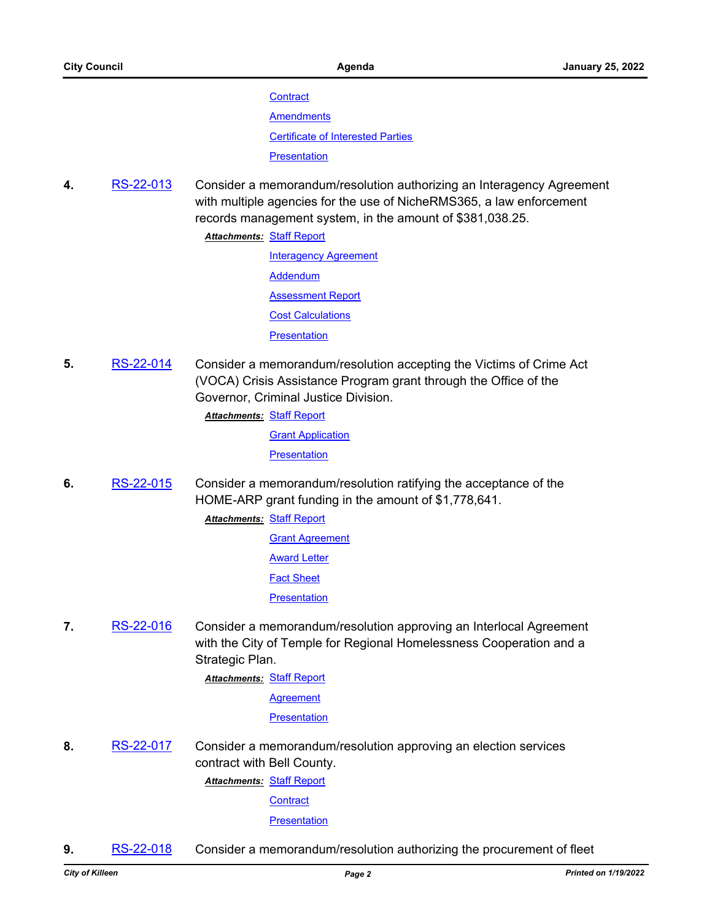**[Contract](http://killeen.legistar.com/gateway.aspx?M=F&ID=2584a9fe-11dd-45be-aca7-7fb02b87cae0.pdf)** 

**[Amendments](http://killeen.legistar.com/gateway.aspx?M=F&ID=678ac694-a801-46ca-9343-2e87dadc1fc6.pdf)** 

[Certificate of Interested Parties](http://killeen.legistar.com/gateway.aspx?M=F&ID=38326128-5b9f-4246-b862-ff6b67bb7571.pdf)

**[Presentation](http://killeen.legistar.com/gateway.aspx?M=F&ID=1e86dfd3-b9b3-4b24-864c-f04a38ebd174.pdf)** 

**4.** [RS-22-013](http://killeen.legistar.com/gateway.aspx?m=l&id=/matter.aspx?key=5886) Consider a memorandum/resolution authorizing an Interagency Agreement with multiple agencies for the use of NicheRMS365, a law enforcement records management system, in the amount of \$381,038.25.

**Attachments: [Staff Report](http://killeen.legistar.com/gateway.aspx?M=F&ID=f0a1ddc7-e63c-4626-9559-e19d0ad23cd8.pdf)** 

**[Interagency Agreement](http://killeen.legistar.com/gateway.aspx?M=F&ID=484ac46c-077d-423c-b2d9-cdde4cc0f47c.pdf) [Addendum](http://killeen.legistar.com/gateway.aspx?M=F&ID=5ca89100-26e7-4c41-a6ee-f1da45b29de9.pdf) [Assessment Report](http://killeen.legistar.com/gateway.aspx?M=F&ID=e1bc2d3d-801f-4d56-92d1-65028d040c41.pdf)** [Cost Calculations](http://killeen.legistar.com/gateway.aspx?M=F&ID=4291bf10-5633-45f9-a488-2b5043e74be3.pdf) **[Presentation](http://killeen.legistar.com/gateway.aspx?M=F&ID=99f79c64-5e68-4719-a05f-b6b272970855.pdf)** 

**5.** [RS-22-014](http://killeen.legistar.com/gateway.aspx?m=l&id=/matter.aspx?key=5911) Consider a memorandum/resolution accepting the Victims of Crime Act (VOCA) Crisis Assistance Program grant through the Office of the Governor, Criminal Justice Division.

**Attachments: [Staff Report](http://killeen.legistar.com/gateway.aspx?M=F&ID=ee7eaa24-2ef0-4728-b3da-688f612bfd93.pdf)** 

**[Grant Application](http://killeen.legistar.com/gateway.aspx?M=F&ID=356baabd-e1e0-4a4f-820c-aae6d645bc2c.pdf)** 

**[Presentation](http://killeen.legistar.com/gateway.aspx?M=F&ID=fba4cd20-df24-42b7-9760-de75b5fb8efa.pdf)** 

**6.** [RS-22-015](http://killeen.legistar.com/gateway.aspx?m=l&id=/matter.aspx?key=5917) Consider a memorandum/resolution ratifying the acceptance of the HOME-ARP grant funding in the amount of \$1,778,641.

> **Attachments: [Staff Report](http://killeen.legistar.com/gateway.aspx?M=F&ID=685f5c43-8366-4b7a-9d60-9c910685e3cb.pdf) [Grant Agreement](http://killeen.legistar.com/gateway.aspx?M=F&ID=92719744-0401-42b0-bb62-c8788a5b1c2c.pdf)** [Award Letter](http://killeen.legistar.com/gateway.aspx?M=F&ID=034c79cd-a3af-474b-9ffe-083de3c82e73.pdf) [Fact Sheet](http://killeen.legistar.com/gateway.aspx?M=F&ID=696a9e60-9e8d-468e-a6ee-17bd80d11ff0.pdf) **[Presentation](http://killeen.legistar.com/gateway.aspx?M=F&ID=1b583e94-e5ee-4142-92c3-516343dfa624.pdf)**

**7.** [RS-22-016](http://killeen.legistar.com/gateway.aspx?m=l&id=/matter.aspx?key=5905) Consider a memorandum/resolution approving an Interlocal Agreement with the City of Temple for Regional Homelessness Cooperation and a Strategic Plan.

**Attachments: [Staff Report](http://killeen.legistar.com/gateway.aspx?M=F&ID=daf7bc81-72d9-4bd2-bd91-b84107c347a0.pdf)** 

**[Agreement](http://killeen.legistar.com/gateway.aspx?M=F&ID=d92d209a-7854-4d54-9555-601303dae726.pdf)** 

**[Presentation](http://killeen.legistar.com/gateway.aspx?M=F&ID=2ebfa02d-66c1-4aba-8ce3-1acda16217c5.pdf)** 

**8.** [RS-22-017](http://killeen.legistar.com/gateway.aspx?m=l&id=/matter.aspx?key=5918) Consider a memorandum/resolution approving an election services contract with Bell County.

**Attachments: [Staff Report](http://killeen.legistar.com/gateway.aspx?M=F&ID=7eb62be5-7836-4cc1-8951-7795391af024.pdf)** 

**[Contract](http://killeen.legistar.com/gateway.aspx?M=F&ID=efd22168-7a46-41b8-9d99-c9a0fd7b9e86.pdf)** 

**[Presentation](http://killeen.legistar.com/gateway.aspx?M=F&ID=8a81a286-5e0c-4069-8dee-efca58a28523.pdf)** 

**9.** [RS-22-018](http://killeen.legistar.com/gateway.aspx?m=l&id=/matter.aspx?key=5912) Consider a memorandum/resolution authorizing the procurement of fleet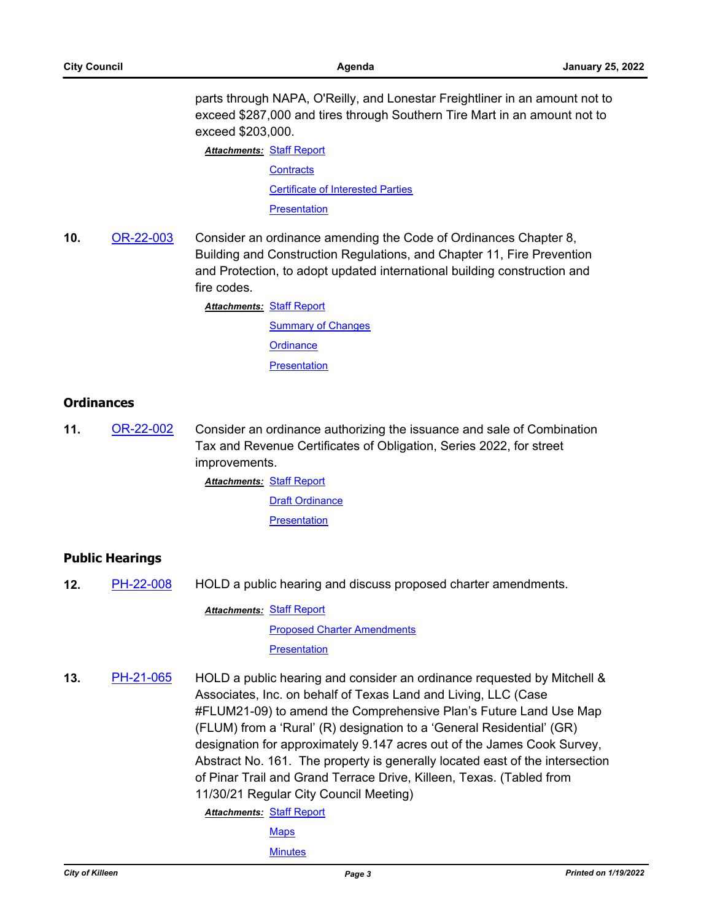parts through NAPA, O'Reilly, and Lonestar Freightliner in an amount not to exceed \$287,000 and tires through Southern Tire Mart in an amount not to exceed \$203,000.

**Attachments: [Staff Report](http://killeen.legistar.com/gateway.aspx?M=F&ID=e19ac678-da17-4a89-a2ef-b4ff39623925.pdf) [Contracts](http://killeen.legistar.com/gateway.aspx?M=F&ID=99abf404-7704-4a20-8735-6d740c7076ad.pdf)** [Certificate of Interested Parties](http://killeen.legistar.com/gateway.aspx?M=F&ID=9ec64fdb-2dc4-4e39-a135-2acc048b90db.pdf)

**[Presentation](http://killeen.legistar.com/gateway.aspx?M=F&ID=f8fa5d62-958a-4630-b584-eb3a9acf19fb.pdf)** 

**10.** [OR-22-003](http://killeen.legistar.com/gateway.aspx?m=l&id=/matter.aspx?key=5872) Consider an ordinance amending the Code of Ordinances Chapter 8, Building and Construction Regulations, and Chapter 11, Fire Prevention and Protection, to adopt updated international building construction and fire codes.

**Attachments: [Staff Report](http://killeen.legistar.com/gateway.aspx?M=F&ID=b4bf530c-a21d-43a8-bdca-49e9ea36f0e4.pdf)** 

[Summary of Changes](http://killeen.legistar.com/gateway.aspx?M=F&ID=d54242e4-6dbe-4456-baf0-bf03892bdcdb.pdf) **[Ordinance](http://killeen.legistar.com/gateway.aspx?M=F&ID=6b5b0cb8-1512-4775-9495-b1a3bc8ee146.pdf) [Presentation](http://killeen.legistar.com/gateway.aspx?M=F&ID=7fada7e2-af37-492b-a215-385ef27550ea.pdf)** 

#### **Ordinances**

**11.** [OR-22-002](http://killeen.legistar.com/gateway.aspx?m=l&id=/matter.aspx?key=5906) Consider an ordinance authorizing the issuance and sale of Combination Tax and Revenue Certificates of Obligation, Series 2022, for street improvements.

> **Attachments: [Staff Report](http://killeen.legistar.com/gateway.aspx?M=F&ID=10013152-d5c5-4e73-9e7b-9445cd579e55.pdf)** [Draft Ordinance](http://killeen.legistar.com/gateway.aspx?M=F&ID=1505c8cb-471b-4d3d-80b0-7e8c78be76cb.pdf) **[Presentation](http://killeen.legistar.com/gateway.aspx?M=F&ID=bf670506-9897-4f77-b20e-b5b4fcf96594.pdf)**

#### **Public Hearings**

**12.** [PH-22-008](http://killeen.legistar.com/gateway.aspx?m=l&id=/matter.aspx?key=5922) HOLD a public hearing and discuss proposed charter amendments.

**Attachments: [Staff Report](http://killeen.legistar.com/gateway.aspx?M=F&ID=e357ec66-a986-40cb-a322-4eb486dd3802.pdf)** 

[Proposed Charter Amendments](http://killeen.legistar.com/gateway.aspx?M=F&ID=ea13c081-0992-4944-bcf3-8f70f243e429.pdf) **[Presentation](http://killeen.legistar.com/gateway.aspx?M=F&ID=7831991d-533f-477d-9eac-ce5ba196b1d0.pdf)** 

**13.** [PH-21-065](http://killeen.legistar.com/gateway.aspx?m=l&id=/matter.aspx?key=5790) HOLD a public hearing and consider an ordinance requested by Mitchell & Associates, Inc. on behalf of Texas Land and Living, LLC (Case #FLUM21-09) to amend the Comprehensive Plan's Future Land Use Map (FLUM) from a 'Rural' (R) designation to a 'General Residential' (GR) designation for approximately 9.147 acres out of the James Cook Survey, Abstract No. 161. The property is generally located east of the intersection of Pinar Trail and Grand Terrace Drive, Killeen, Texas. (Tabled from 11/30/21 Regular City Council Meeting)

**Attachments: [Staff Report](http://killeen.legistar.com/gateway.aspx?M=F&ID=e1793750-bddb-4ee8-b399-9b99e16a6603.pdf)** 

**[Maps](http://killeen.legistar.com/gateway.aspx?M=F&ID=2d75521c-0609-4738-b155-792a5ad30590.pdf)** 

**[Minutes](http://killeen.legistar.com/gateway.aspx?M=F&ID=2f912324-00a9-40f4-8e04-245d8b6c08dc.pdf)**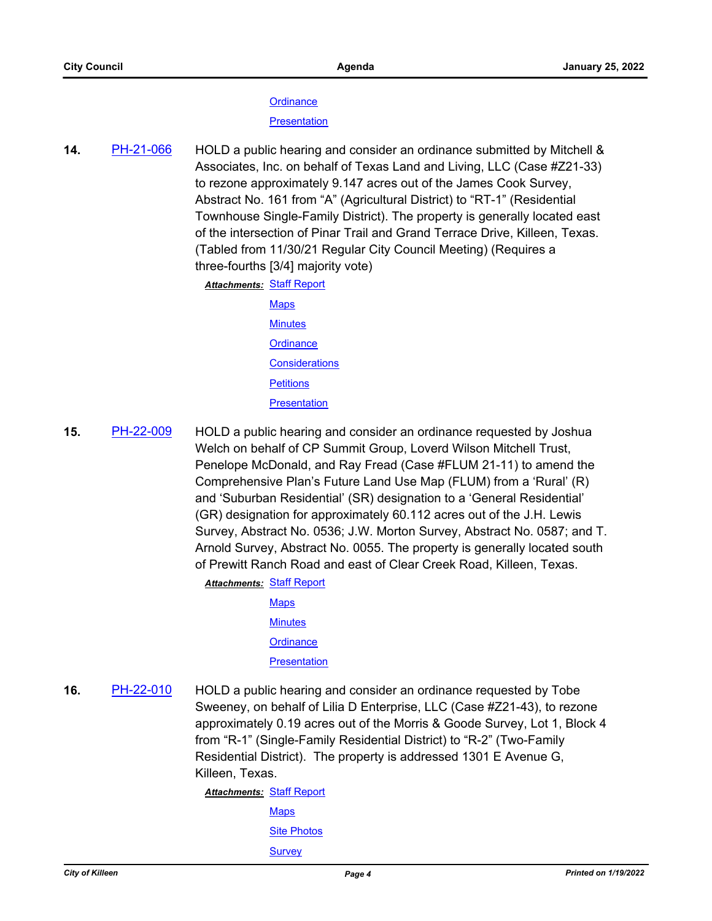#### **[Ordinance](http://killeen.legistar.com/gateway.aspx?M=F&ID=0b8b2c8d-6114-46b3-b1df-f97382588c16.pdf)**

#### **[Presentation](http://killeen.legistar.com/gateway.aspx?M=F&ID=ba40410f-9283-4979-b77e-e9445747e21e.pdf)**

**14.** [PH-21-066](http://killeen.legistar.com/gateway.aspx?m=l&id=/matter.aspx?key=5643) HOLD a public hearing and consider an ordinance submitted by Mitchell & Associates, Inc. on behalf of Texas Land and Living, LLC (Case #Z21-33) to rezone approximately 9.147 acres out of the James Cook Survey, Abstract No. 161 from "A" (Agricultural District) to "RT-1" (Residential Townhouse Single-Family District). The property is generally located east of the intersection of Pinar Trail and Grand Terrace Drive, Killeen, Texas. (Tabled from 11/30/21 Regular City Council Meeting) (Requires a three-fourths [3/4] majority vote)

**Attachments: [Staff Report](http://killeen.legistar.com/gateway.aspx?M=F&ID=1fda0dea-d313-4cc3-ad5b-0cd3c9193342.pdf)** 

- [Maps](http://killeen.legistar.com/gateway.aspx?M=F&ID=f020ac74-7cc3-419b-9eda-0ffbde6d4069.pdf) **[Minutes](http://killeen.legistar.com/gateway.aspx?M=F&ID=3f222ef9-cbae-4408-ab99-cab90090358c.pdf) [Ordinance](http://killeen.legistar.com/gateway.aspx?M=F&ID=de884beb-bf36-4dec-89bd-63b655004f6a.pdf) [Considerations](http://killeen.legistar.com/gateway.aspx?M=F&ID=5317e430-b2f2-4b1c-8b9b-79f5d4178347.pdf) [Petitions](http://killeen.legistar.com/gateway.aspx?M=F&ID=bbd316c6-7f5f-4b09-80ca-2c37d5f8c28d.pdf) [Presentation](http://killeen.legistar.com/gateway.aspx?M=F&ID=940bc422-e285-4290-8524-d9a60e5b52d3.pdf)**
- **15.** [PH-22-009](http://killeen.legistar.com/gateway.aspx?m=l&id=/matter.aspx?key=5874) HOLD a public hearing and consider an ordinance requested by Joshua Welch on behalf of CP Summit Group, Loverd Wilson Mitchell Trust, Penelope McDonald, and Ray Fread (Case #FLUM 21-11) to amend the Comprehensive Plan's Future Land Use Map (FLUM) from a 'Rural' (R) and 'Suburban Residential' (SR) designation to a 'General Residential' (GR) designation for approximately 60.112 acres out of the J.H. Lewis Survey, Abstract No. 0536; J.W. Morton Survey, Abstract No. 0587; and T. Arnold Survey, Abstract No. 0055. The property is generally located south of Prewitt Ranch Road and east of Clear Creek Road, Killeen, Texas.

**Attachments: [Staff Report](http://killeen.legistar.com/gateway.aspx?M=F&ID=f69de045-808d-475e-a7fe-1ae4cec825ad.pdf)** 

- [Maps](http://killeen.legistar.com/gateway.aspx?M=F&ID=dabc7186-7cfa-45ed-96a9-dc2b80f2ce86.pdf) **[Minutes](http://killeen.legistar.com/gateway.aspx?M=F&ID=719bd90e-0992-4ca1-933f-cf2c08e4eef3.pdf) [Ordinance](http://killeen.legistar.com/gateway.aspx?M=F&ID=d433c8bc-3eaa-4ff3-a0ec-084524dfbef8.pdf) [Presentation](http://killeen.legistar.com/gateway.aspx?M=F&ID=ab41c7b1-0f47-484a-b982-60c757aab9a8.pdf)**
- **16.** [PH-22-010](http://killeen.legistar.com/gateway.aspx?m=l&id=/matter.aspx?key=5884) HOLD a public hearing and consider an ordinance requested by Tobe Sweeney, on behalf of Lilia D Enterprise, LLC (Case #Z21-43), to rezone approximately 0.19 acres out of the Morris & Goode Survey, Lot 1, Block 4 from "R-1" (Single-Family Residential District) to "R-2" (Two-Family Residential District). The property is addressed 1301 E Avenue G, Killeen, Texas.

**Attachments: [Staff Report](http://killeen.legistar.com/gateway.aspx?M=F&ID=23bfc62e-5534-40d0-833c-1e38a78e6750.pdf) [Maps](http://killeen.legistar.com/gateway.aspx?M=F&ID=729a2636-624c-4a0a-9cc9-78d411a307ff.pdf) [Site Photos](http://killeen.legistar.com/gateway.aspx?M=F&ID=baa4c63b-3eeb-42ec-8057-e710eebc2c1f.pdf) [Survey](http://killeen.legistar.com/gateway.aspx?M=F&ID=ad287931-c876-424e-8796-0771ba3bb87c.pdf)**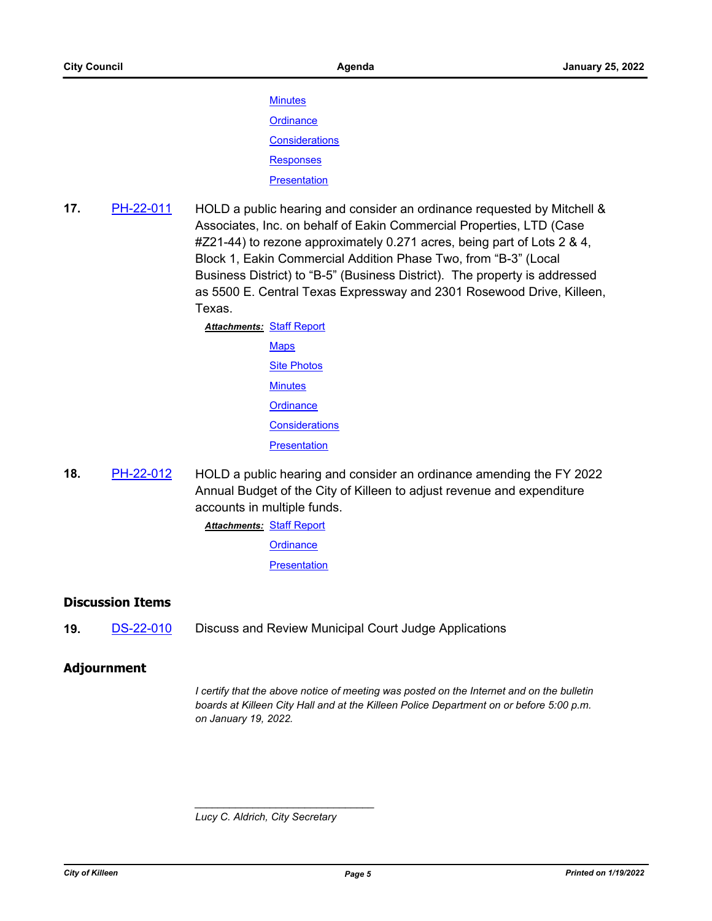**[Minutes](http://killeen.legistar.com/gateway.aspx?M=F&ID=b62935ad-df7b-49a8-88fa-1d3a24af8d78.pdf) [Ordinance](http://killeen.legistar.com/gateway.aspx?M=F&ID=9697664e-3667-4a49-b37a-b3f9061ffa83.pdf) [Considerations](http://killeen.legistar.com/gateway.aspx?M=F&ID=ccbbdc93-a1ef-4aaa-bda8-c7dddadaa0be.pdf)** [Responses](http://killeen.legistar.com/gateway.aspx?M=F&ID=e288af0c-5dc7-4851-8163-2fabb3387ab7.pdf) **[Presentation](http://killeen.legistar.com/gateway.aspx?M=F&ID=b970dbb1-7746-4a50-af66-87db6403733d.pdf)** 

**17.** [PH-22-011](http://killeen.legistar.com/gateway.aspx?m=l&id=/matter.aspx?key=5885) HOLD a public hearing and consider an ordinance requested by Mitchell & Associates, Inc. on behalf of Eakin Commercial Properties, LTD (Case #Z21-44) to rezone approximately 0.271 acres, being part of Lots 2 & 4, Block 1, Eakin Commercial Addition Phase Two, from "B-3" (Local Business District) to "B-5" (Business District). The property is addressed as 5500 E. Central Texas Expressway and 2301 Rosewood Drive, Killeen, Texas.

> **Attachments: [Staff Report](http://killeen.legistar.com/gateway.aspx?M=F&ID=85b5021e-0b1b-4666-a5ac-3ef313bb7ce9.pdf) [Maps](http://killeen.legistar.com/gateway.aspx?M=F&ID=83f39c60-abf7-48cc-9cd1-75d2b96b7157.pdf)** [Site Photos](http://killeen.legistar.com/gateway.aspx?M=F&ID=79821813-5c08-4192-99d7-df3fd27ff017.pdf) **[Minutes](http://killeen.legistar.com/gateway.aspx?M=F&ID=663bfb30-6179-40a5-9e71-01ddb9ea8e9f.pdf) [Ordinance](http://killeen.legistar.com/gateway.aspx?M=F&ID=2b9ef719-f40a-426e-9e59-023884394af9.pdf) [Considerations](http://killeen.legistar.com/gateway.aspx?M=F&ID=37769e21-cf8a-46f7-8dac-7e22d49866ac.pdf) [Presentation](http://killeen.legistar.com/gateway.aspx?M=F&ID=b2630d62-e913-43f2-a7e8-2af2dafe48aa.pdf)**

**18.** [PH-22-012](http://killeen.legistar.com/gateway.aspx?m=l&id=/matter.aspx?key=5920) HOLD a public hearing and consider an ordinance amending the FY 2022 Annual Budget of the City of Killeen to adjust revenue and expenditure accounts in multiple funds.

**Attachments: [Staff Report](http://killeen.legistar.com/gateway.aspx?M=F&ID=0b29faf1-b3e3-4de6-89ae-aaf0b748871f.pdf)** 

**[Ordinance](http://killeen.legistar.com/gateway.aspx?M=F&ID=da20c8ae-e255-4592-b82a-4f2830b3be60.pdf)** 

**[Presentation](http://killeen.legistar.com/gateway.aspx?M=F&ID=da2ee473-a92b-4ec2-a84d-498c233e711c.pdf)** 

#### **Discussion Items**

**19. [DS-22-010](http://killeen.legistar.com/gateway.aspx?m=l&id=/matter.aspx?key=5925)** Discuss and Review Municipal Court Judge Applications

#### **Adjournment**

*I certify that the above notice of meeting was posted on the Internet and on the bulletin boards at Killeen City Hall and at the Killeen Police Department on or before 5:00 p.m. on January 19, 2022.*

*Lucy C. Aldrich, City Secretary* 

*\_\_\_\_\_\_\_\_\_\_\_\_\_\_\_\_\_\_\_\_\_\_\_\_\_\_\_\_\_\_\_*